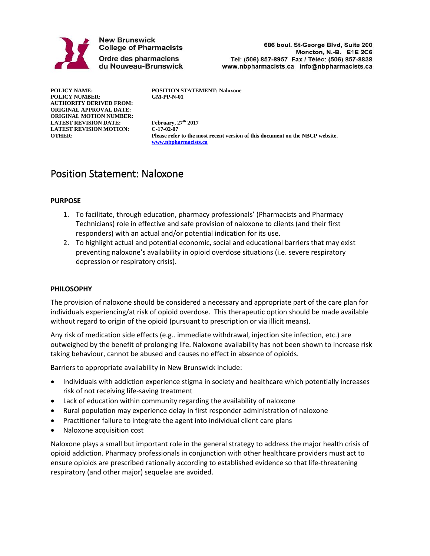

**New Brunswick College of Pharmacists** Ordre des pharmaciens du Nouveau-Brunswick

686 boul. St-George Blvd, Suite 200 Moncton, N.-B. E1E 2C6 Tel: (506) 857-8957 Fax / Téléc: (506) 857-8838 www.nbpharmacists.ca info@nbpharmacists.ca

**POLICY NUMBER: AUTHORITY DERIVED FROM: ORIGINAL APPROVAL DATE: ORIGINAL MOTION NUMBER: LATEST REVISION DATE: February, 27th 2017 LATEST REVISION MOTION: C-17-02-07**

**POLICY NAME: POSITION STATEMENT: Naloxone**

Please refer to the most recent version of this document on the NBCP website. **[www.nbpharmacists.ca](http://www.nbpharmacists.ca/)**

# Position Statement: Naloxone

#### **PURPOSE**

- 1. To facilitate, through education, pharmacy professionals' (Pharmacists and Pharmacy Technicians) role in effective and safe provision of naloxone to clients (and their first responders) with an actual and/or potential indication for its use.
- 2. To highlight actual and potential economic, social and educational barriers that may exist preventing naloxone's availability in opioid overdose situations (i.e. severe respiratory depression or respiratory crisis).

#### **PHILOSOPHY**

The provision of naloxone should be considered a necessary and appropriate part of the care plan for individuals experiencing/at risk of opioid overdose. This therapeutic option should be made available without regard to origin of the opioid (pursuant to prescription or via illicit means).

Any risk of medication side effects (e.g.. immediate withdrawal, injection site infection, etc.) are outweighed by the benefit of prolonging life. Naloxone availability has not been shown to increase risk taking behaviour, cannot be abused and causes no effect in absence of opioids.

Barriers to appropriate availability in New Brunswick include:

- Individuals with addiction experience stigma in society and healthcare which potentially increases risk of not receiving life-saving treatment
- Lack of education within community regarding the availability of naloxone
- Rural population may experience delay in first responder administration of naloxone
- Practitioner failure to integrate the agent into individual client care plans
- Naloxone acquisition cost

Naloxone plays a small but important role in the general strategy to address the major health crisis of opioid addiction. Pharmacy professionals in conjunction with other healthcare providers must act to ensure opioids are prescribed rationally according to established evidence so that life-threatening respiratory (and other major) sequelae are avoided.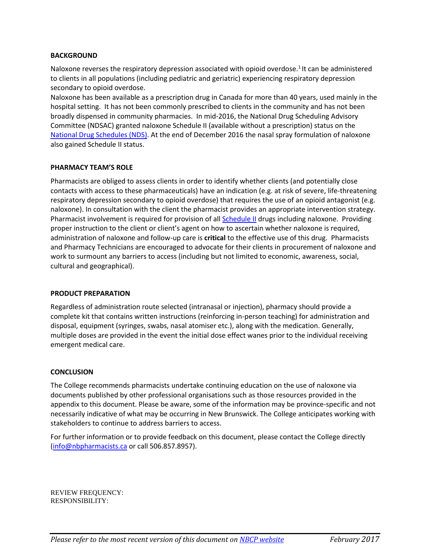#### **BACKGROUND**

Naloxone reverses the respiratory depression associated with opioid overdose.<sup>1</sup> It can be administered to clients in all populations (including pediatric and geriatric) experiencing respiratory depression secondary to opioid overdose.

Naloxone has been available as a prescription drug in Canada for more than 40 years, used mainly in the hospital setting. It has not been commonly prescribed to clients in the community and has not been broadly dispensed in community pharmacies. In mid-2016, the National Drug Scheduling Advisory Committee (NDSAC) granted naloxone Schedule II (available without a prescription) status on the [National Drug Schedules \(NDS\).](http://napra.ca/pages/Schedules/Search.aspx) At the end of December 2016 the nasal spray formulation of naloxone also gained Schedule II status.

#### **PHARMACY TEAM'S ROLE**

Pharmacists are obliged to assess clients in order to identify whether clients (and potentially close contacts with access to these pharmaceuticals) have an indication (e.g. at risk of severe, life-threatening respiratory depression secondary to opioid overdose) that requires the use of an opioid antagonist (e.g. naloxone). In consultation with the client the pharmacist provides an appropriate intervention strategy. Pharmacist involvement is required for provision of al[l Schedule II](http://napra.ca/pages/Schedules/Overview.aspx?id=1925) drugs including naloxone. Providing proper instruction to the client or client's agent on how to ascertain whether naloxone is required, administration of naloxone and follow-up care is **critical** to the effective use of this drug. Pharmacists and Pharmacy Technicians are encouraged to advocate for their clients in procurement of naloxone and work to surmount any barriers to access (including but not limited to economic, awareness, social, cultural and geographical).

#### **PRODUCT PREPARATION**

Regardless of administration route selected (intranasal or injection), pharmacy should provide a complete kit that contains written instructions (reinforcing in-person teaching) for administration and disposal, equipment (syringes, swabs, nasal atomiser etc.), along with the medication. Generally, multiple doses are provided in the event the initial dose effect wanes prior to the individual receiving emergent medical care.

#### **CONCLUSION**

The College recommends pharmacists undertake continuing education on the use of naloxone via documents published by other professional organisations such as those resources provided in the appendix to this document. Please be aware, some of the information may be province-specific and not necessarily indicative of what may be occurring in New Brunswick. The College anticipates working with stakeholders to continue to address barriers to access.

For further information or to provide feedback on this document, please contact the College directly [\(info@nbpharmacists.ca](mailto:info@nbpharmacists.ca) or call 506.857.8957).

REVIEW FREQUENCY: RESPONSIBILITY: